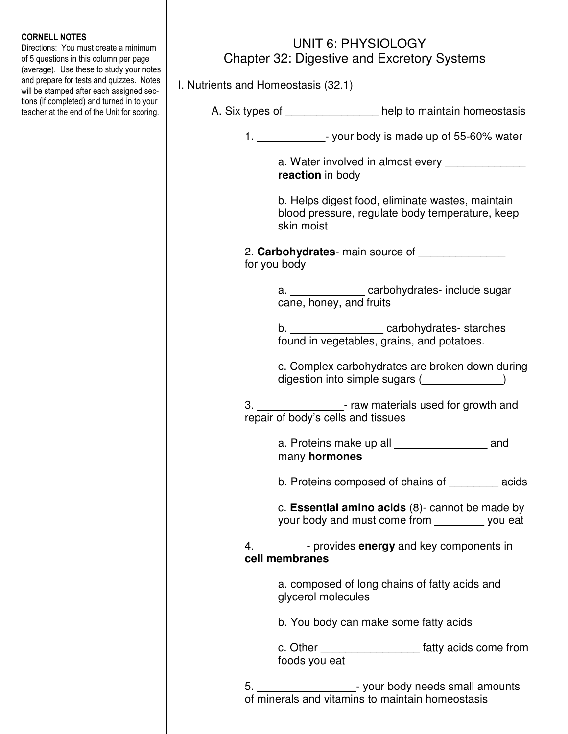## CORNELL NOTES

Directions: You must create a minimum of 5 questions in this column per page (average). Use these to study your notes and prepare for tests and quizzes. Notes will be stamped after each assigned sections (if completed) and turned in to your teacher at the end of the Unit for scoring.

## UNIT 6: PHYSIOLOGY Chapter 32: Digestive and Excretory Systems

I. Nutrients and Homeostasis (32.1)

| A. <u>Six types</u> of | help to maintain homeostasis |
|------------------------|------------------------------|
|------------------------|------------------------------|

1.  $\frac{1}{2}$  your body is made up of 55-60% water

a. Water involved in almost every  **reaction** in body

 b. Helps digest food, eliminate wastes, maintain blood pressure, regulate body temperature, keep skin moist

 2. **Carbohydrates**- main source of \_\_\_\_\_\_\_\_\_\_\_\_\_\_ for you body

> a. **Example 2** carbohydrates- include sugar cane, honey, and fruits

b. \_\_\_\_\_\_\_\_\_\_\_\_\_\_\_\_\_\_ carbohydrates- starches found in vegetables, grains, and potatoes.

 c. Complex carbohydrates are broken down during digestion into simple sugars (\_\_\_\_\_\_\_\_\_\_\_\_)

 3. \_\_\_\_\_\_\_\_\_\_\_\_\_\_- raw materials used for growth and repair of body's cells and tissues

> a. Proteins make up all \_\_\_\_\_\_\_\_\_\_\_\_\_\_\_\_\_ and many **hormones**

b. Proteins composed of chains of \_\_\_\_\_\_\_\_ acids

 c. **Essential amino acids** (8)- cannot be made by your body and must come from \_\_\_\_\_\_\_\_ you eat

 4. \_\_\_\_\_\_\_\_- provides **energy** and key components in **cell membranes** 

> a. composed of long chains of fatty acids and glycerol molecules

b. You body can make some fatty acids

 c. Other \_\_\_\_\_\_\_\_\_\_\_\_\_\_\_\_ fatty acids come from foods you eat

> 5. \_\_\_\_\_\_\_\_\_\_\_\_\_\_\_\_- your body needs small amounts of minerals and vitamins to maintain homeostasis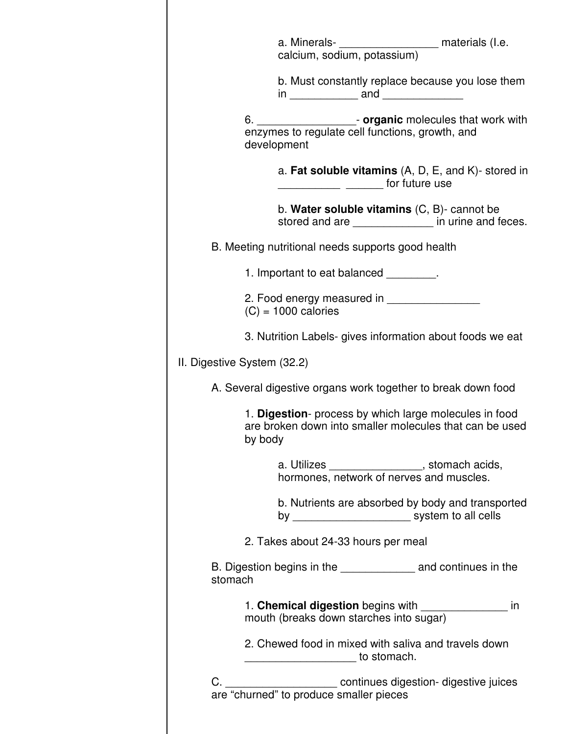|                             | a. Minerals- <b>___________________</b> materials (I.e.<br>calcium, sodium, potassium)                                         |
|-----------------------------|--------------------------------------------------------------------------------------------------------------------------------|
|                             | b. Must constantly replace because you lose them                                                                               |
|                             | 6. _______________________- organic molecules that work with<br>enzymes to regulate cell functions, growth, and<br>development |
|                             | a. Fat soluble vitamins $(A, D, E, and K)$ - stored in<br>______________ ________ for future use                               |
|                             | b. Water soluble vitamins $(C, B)$ - cannot be<br>stored and are ______________ in urine and feces.                            |
|                             | B. Meeting nutritional needs supports good health                                                                              |
|                             | 1. Important to eat balanced Fig. 2.                                                                                           |
|                             | 2. Food energy measured in __________________<br>$(C) = 1000$ calories                                                         |
|                             | 3. Nutrition Labels- gives information about foods we eat                                                                      |
| II. Digestive System (32.2) |                                                                                                                                |
|                             | A. Several digestive organs work together to break down food                                                                   |
|                             | 1. Digestion- process by which large molecules in food<br>are broken down into smaller molecules that can be used<br>by body   |
|                             | a. Utilizes ___________________, stomach acids, hormones, network of nerves and muscles.                                       |
|                             | b. Nutrients are absorbed by body and transported<br>by _______________________________ system to all cells                    |
|                             | 2. Takes about 24-33 hours per meal                                                                                            |
| stomach                     | B. Digestion begins in the ______________________ and continues in the                                                         |
|                             | 1. Chemical digestion begins with ________________<br>in<br>mouth (breaks down starches into sugar)                            |
|                             | 2. Chewed food in mixed with saliva and travels down<br>to stomach.                                                            |
|                             |                                                                                                                                |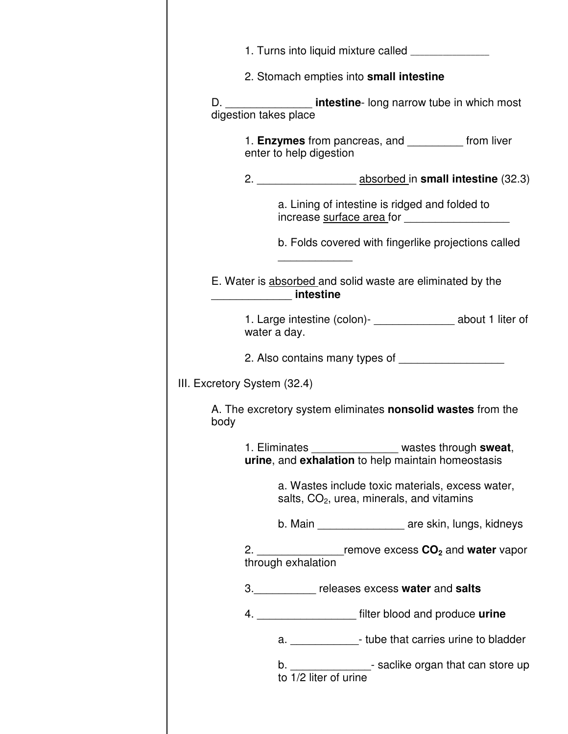|                              | 2. Stomach empties into small intestine                                                                           |
|------------------------------|-------------------------------------------------------------------------------------------------------------------|
|                              | D. ___________________ intestine- long narrow tube in which most<br>digestion takes place                         |
|                              | 1. Enzymes from pancreas, and ___________ from liver<br>enter to help digestion                                   |
|                              |                                                                                                                   |
|                              | a. Lining of intestine is ridged and folded to                                                                    |
|                              | b. Folds covered with fingerlike projections called                                                               |
|                              | E. Water is absorbed and solid waste are eliminated by the<br><u>______________</u> intestine                     |
|                              | 1. Large intestine (colon)- ________________ about 1 liter of<br>water a day.                                     |
|                              | 2. Also contains many types of ______________________                                                             |
| III. Excretory System (32.4) |                                                                                                                   |
| body                         | A. The excretory system eliminates <b>nonsolid wastes</b> from the                                                |
|                              | ____________________ wastes through sweat,<br>1. Eliminates<br>urine, and exhalation to help maintain homeostasis |
|                              | a. Wastes include toxic materials, excess water,<br>salts, $CO2$ , urea, minerals, and vitamins                   |
|                              | b. Main ___________________ are skin, lungs, kidneys                                                              |
|                              | 2. $\frac{1}{2}$ remove excess $CO2$ and water vapor through exhalation                                           |
|                              | 3. Preleases excess water and salts                                                                               |
|                              | 4. ____________________ filter blood and produce urine                                                            |
|                              | a. _______________- tube that carries urine to bladder                                                            |
|                              | b. $\underline{\hspace{1cm}}$ - saclike organ that can store up<br>to $1/2$ liter of urine                        |
|                              |                                                                                                                   |